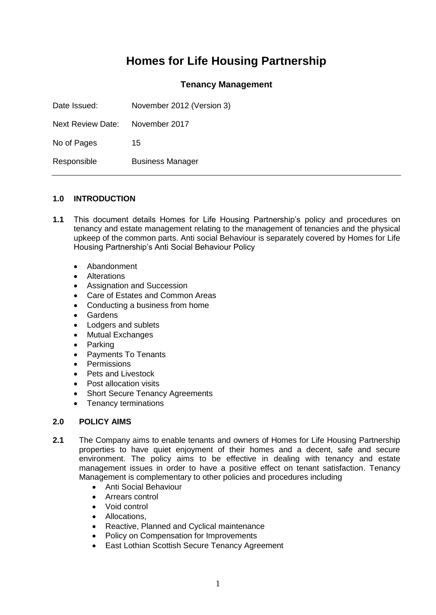# **Homes for Life Housing Partnership**

## **Tenancy Management**

| Date Issued:             | November 2012 (Version 3) |
|--------------------------|---------------------------|
| <b>Next Review Date:</b> | November 2017             |
| No of Pages              | 15                        |
| Responsible              | <b>Business Manager</b>   |

### **1.0 INTRODUCTION**

- **1.1** This document details Homes for Life Housing Partnership's policy and procedures on tenancy and estate management relating to the management of tenancies and the physical upkeep of the common parts. Anti social Behaviour is separately covered by Homes for Life Housing Partnership's Anti Social Behaviour Policy
	- Abandonment
	- Alterations
	- Assignation and Succession
	- Care of Estates and Common Areas
	- Conducting a business from home
	- Gardens
	- Lodgers and sublets
	- Mutual Exchanges
	- Parking
	- Payments To Tenants
	- Permissions
	- Pets and Livestock
	- Post allocation visits
	- Short Secure Tenancy Agreements
	- Tenancy terminations

#### **2.0 POLICY AIMS**

- **2.1** The Company aims to enable tenants and owners of Homes for Life Housing Partnership properties to have quiet enjoyment of their homes and a decent, safe and secure environment. The policy aims to be effective in dealing with tenancy and estate management issues in order to have a positive effect on tenant satisfaction. Tenancy Management is complementary to other policies and procedures including
	- Anti Social Behaviour
	- Arrears control
	- Void control
	- Allocations.
	- Reactive, Planned and Cyclical maintenance
	- Policy on Compensation for Improvements
	- East Lothian Scottish Secure Tenancy Agreement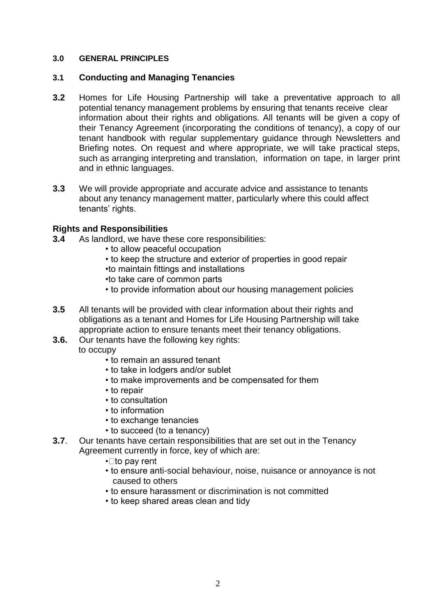## **3.0 GENERAL PRINCIPLES**

## **3.1 Conducting and Managing Tenancies**

- **3.2** Homes for Life Housing Partnership will take a preventative approach to all potential tenancy management problems by ensuring that tenants receive clear information about their rights and obligations. All tenants will be given a copy of their Tenancy Agreement (incorporating the conditions of tenancy), a copy of our tenant handbook with regular supplementary guidance through Newsletters and Briefing notes. On request and where appropriate, we will take practical steps, such as arranging interpreting and translation, information on tape, in larger print and in ethnic languages.
- **3.3** We will provide appropriate and accurate advice and assistance to tenants about any tenancy management matter, particularly where this could affect tenants' rights.

## **Rights and Responsibilities**

- **3.4** As landlord, we have these core responsibilities:
	- to allow peaceful occupation
	- to keep the structure and exterior of properties in good repair
	- •to maintain fittings and installations
	- •to take care of common parts
	- to provide information about our housing management policies
- **3.5** All tenants will be provided with clear information about their rights and obligations as a tenant and Homes for Life Housing Partnership will take appropriate action to ensure tenants meet their tenancy obligations.
- **3.6.** Our tenants have the following key rights: to occupy
	- to remain an assured tenant
	- to take in lodgers and/or sublet
	- to make improvements and be compensated for them
	- to repair
	- to consultation
	- to information
	- to exchange tenancies
	- to succeed (to a tenancy)
- **3.7**. Our tenants have certain responsibilities that are set out in the Tenancy Agreement currently in force, key of which are:
	- $\cdot$  Tto pay rent
	- to ensure anti-social behaviour, noise, nuisance or annoyance is not caused to others
	- to ensure harassment or discrimination is not committed
	- to keep shared areas clean and tidy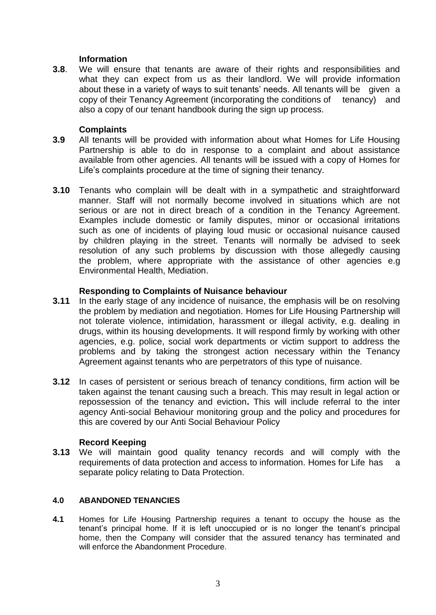## **Information**

**3.8**. We will ensure that tenants are aware of their rights and responsibilities and what they can expect from us as their landlord. We will provide information about these in a variety of ways to suit tenants' needs. All tenants will be given a copy of their Tenancy Agreement (incorporating the conditions of tenancy) and also a copy of our tenant handbook during the sign up process.

### **Complaints**

- **3.9** All tenants will be provided with information about what Homes for Life Housing Partnership is able to do in response to a complaint and about assistance available from other agencies. All tenants will be issued with a copy of Homes for Life's complaints procedure at the time of signing their tenancy.
- **3.10** Tenants who complain will be dealt with in a sympathetic and straightforward manner. Staff will not normally become involved in situations which are not serious or are not in direct breach of a condition in the Tenancy Agreement. Examples include domestic or family disputes, minor or occasional irritations such as one of incidents of playing loud music or occasional nuisance caused by children playing in the street. Tenants will normally be advised to seek resolution of any such problems by discussion with those allegedly causing the problem, where appropriate with the assistance of other agencies e.g Environmental Health, Mediation.

### **Responding to Complaints of Nuisance behaviour**

- **3.11** In the early stage of any incidence of nuisance, the emphasis will be on resolving the problem by mediation and negotiation. Homes for Life Housing Partnership will not tolerate violence, intimidation, harassment or illegal activity, e.g. dealing in drugs, within its housing developments. It will respond firmly by working with other agencies, e.g. police, social work departments or victim support to address the problems and by taking the strongest action necessary within the Tenancy Agreement against tenants who are perpetrators of this type of nuisance.
- **3.12** In cases of persistent or serious breach of tenancy conditions, firm action will be taken against the tenant causing such a breach. This may result in legal action or repossession of the tenancy and eviction**.** This will include referral to the inter agency Anti-social Behaviour monitoring group and the policy and procedures for this are covered by our Anti Social Behaviour Policy

## **Record Keeping**

**3.13** We will maintain good quality tenancy records and will comply with the requirements of data protection and access to information. Homes for Life has a separate policy relating to Data Protection.

#### **4.0 ABANDONED TENANCIES**

**4.1** Homes for Life Housing Partnership requires a tenant to occupy the house as the tenant's principal home. If it is left unoccupied or is no longer the tenant's principal home, then the Company will consider that the assured tenancy has terminated and will enforce the Abandonment Procedure.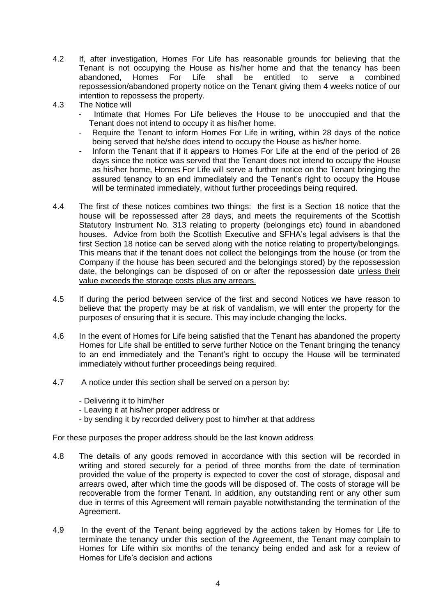- 4.2 If, after investigation, Homes For Life has reasonable grounds for believing that the Tenant is not occupying the House as his/her home and that the tenancy has been abandoned. Homes For Life shall be entitled to serve a combined abandoned, Homes For Life shall be entitled to serve a combined repossession/abandoned property notice on the Tenant giving them 4 weeks notice of our intention to repossess the property.
- 4.3 The Notice will
	- Intimate that Homes For Life believes the House to be unoccupied and that the Tenant does not intend to occupy it as his/her home.
	- Require the Tenant to inform Homes For Life in writing, within 28 days of the notice being served that he/she does intend to occupy the House as his/her home.
	- Inform the Tenant that if it appears to Homes For Life at the end of the period of 28 days since the notice was served that the Tenant does not intend to occupy the House as his/her home, Homes For Life will serve a further notice on the Tenant bringing the assured tenancy to an end immediately and the Tenant's right to occupy the House will be terminated immediately, without further proceedings being required.
- 4.4 The first of these notices combines two things: the first is a Section 18 notice that the house will be repossessed after 28 days, and meets the requirements of the Scottish Statutory Instrument No. 313 relating to property (belongings etc) found in abandoned houses. Advice from both the Scottish Executive and SFHA's legal advisers is that the first Section 18 notice can be served along with the notice relating to property/belongings. This means that if the tenant does not collect the belongings from the house (or from the Company if the house has been secured and the belongings stored) by the repossession date, the belongings can be disposed of on or after the repossession date unless their value exceeds the storage costs plus any arrears.
- 4.5 If during the period between service of the first and second Notices we have reason to believe that the property may be at risk of vandalism, we will enter the property for the purposes of ensuring that it is secure. This may include changing the locks.
- 4.6 In the event of Homes for Life being satisfied that the Tenant has abandoned the property Homes for Life shall be entitled to serve further Notice on the Tenant bringing the tenancy to an end immediately and the Tenant's right to occupy the House will be terminated immediately without further proceedings being required.
- 4.7 A notice under this section shall be served on a person by:
	- Delivering it to him/her
	- Leaving it at his/her proper address or
	- by sending it by recorded delivery post to him/her at that address

For these purposes the proper address should be the last known address

- 4.8 The details of any goods removed in accordance with this section will be recorded in writing and stored securely for a period of three months from the date of termination provided the value of the property is expected to cover the cost of storage, disposal and arrears owed, after which time the goods will be disposed of. The costs of storage will be recoverable from the former Tenant. In addition, any outstanding rent or any other sum due in terms of this Agreement will remain payable notwithstanding the termination of the Agreement.
- 4.9 In the event of the Tenant being aggrieved by the actions taken by Homes for Life to terminate the tenancy under this section of the Agreement, the Tenant may complain to Homes for Life within six months of the tenancy being ended and ask for a review of Homes for Life's decision and actions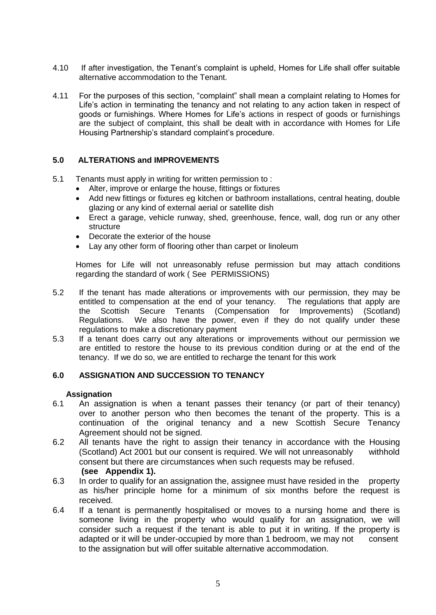- 4.10 If after investigation, the Tenant's complaint is upheld, Homes for Life shall offer suitable alternative accommodation to the Tenant.
- 4.11 For the purposes of this section, "complaint" shall mean a complaint relating to Homes for Life's action in terminating the tenancy and not relating to any action taken in respect of goods or furnishings. Where Homes for Life's actions in respect of goods or furnishings are the subject of complaint, this shall be dealt with in accordance with Homes for Life Housing Partnership's standard complaint's procedure.

### **5.0 ALTERATIONS and IMPROVEMENTS**

- 5.1 Tenants must apply in writing for written permission to :
	- Alter, improve or enlarge the house, fittings or fixtures
	- Add new fittings or fixtures eg kitchen or bathroom installations, central heating, double glazing or any kind of external aerial or satellite dish
	- Erect a garage, vehicle runway, shed, greenhouse, fence, wall, dog run or any other structure
	- Decorate the exterior of the house
	- Lay any other form of flooring other than carpet or linoleum

Homes for Life will not unreasonably refuse permission but may attach conditions regarding the standard of work ( See PERMISSIONS)

- 5.2 If the tenant has made alterations or improvements with our permission, they may be entitled to compensation at the end of your tenancy. The regulations that apply are the Scottish Secure Tenants (Compensation for Improvements) (Scotland) Regulations. We also have the power, even if they do not qualify under these regulations to make a discretionary payment
- 5.3 If a tenant does carry out any alterations or improvements without our permission we are entitled to restore the house to its previous condition during or at the end of the tenancy. If we do so, we are entitled to recharge the tenant for this work

#### **6.0 ASSIGNATION AND SUCCESSION TO TENANCY**

#### **Assignation**

- 6.1 An assignation is when a tenant passes their tenancy (or part of their tenancy) over to another person who then becomes the tenant of the property. This is a continuation of the original tenancy and a new Scottish Secure Tenancy Agreement should not be signed.
- 6.2 All tenants have the right to assign their tenancy in accordance with the Housing (Scotland) Act 2001 but our consent is required. We will not unreasonably withhold consent but there are circumstances when such requests may be refused. **(see Appendix 1).**
- 6.3 In order to qualify for an assignation the, assignee must have resided in the property as his/her principle home for a minimum of six months before the request is received.
- 6.4 If a tenant is permanently hospitalised or moves to a nursing home and there is someone living in the property who would qualify for an assignation, we will consider such a request if the tenant is able to put it in writing. If the property is adapted or it will be under-occupied by more than 1 bedroom, we may not consent to the assignation but will offer suitable alternative accommodation.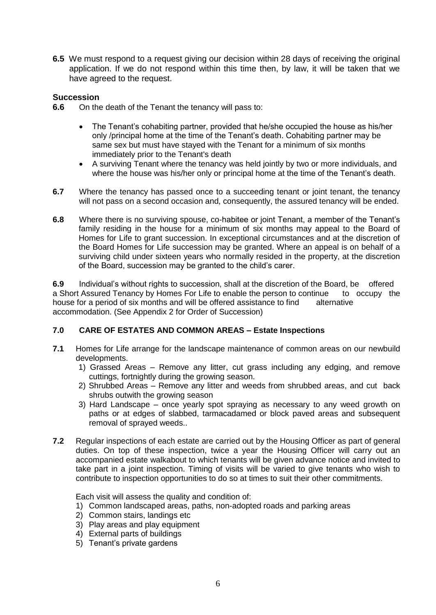**6.5** We must respond to a request giving our decision within 28 days of receiving the original application. If we do not respond within this time then, by law, it will be taken that we have agreed to the request.

## **Succession**

- **6.6** On the death of the Tenant the tenancy will pass to:
	- The Tenant's cohabiting partner, provided that he/she occupied the house as his/her only /principal home at the time of the Tenant's death. Cohabiting partner may be same sex but must have stayed with the Tenant for a minimum of six months immediately prior to the Tenant's death
	- A surviving Tenant where the tenancy was held jointly by two or more individuals, and where the house was his/her only or principal home at the time of the Tenant's death.
- **6.7** Where the tenancy has passed once to a succeeding tenant or joint tenant, the tenancy will not pass on a second occasion and, consequently, the assured tenancy will be ended.
- **6.8** Where there is no surviving spouse, co-habitee or joint Tenant, a member of the Tenant's family residing in the house for a minimum of six months may appeal to the Board of Homes for Life to grant succession. In exceptional circumstances and at the discretion of the Board Homes for Life succession may be granted. Where an appeal is on behalf of a surviving child under sixteen years who normally resided in the property, at the discretion of the Board, succession may be granted to the child's carer.

**6.9** Individual's without rights to succession, shall at the discretion of the Board, be offered a Short Assured Tenancy by Homes For Life to enable the person to continue to occupy the house for a period of six months and will be offered assistance to find alternative accommodation. (See Appendix 2 for Order of Succession)

#### **7.0 CARE OF ESTATES AND COMMON AREAS – Estate Inspections**

- **7.1** Homes for Life arrange for the landscape maintenance of common areas on our newbuild developments.
	- 1) Grassed Areas Remove any litter, cut grass including any edging, and remove cuttings, fortnightly during the growing season.
	- 2) Shrubbed Areas Remove any litter and weeds from shrubbed areas, and cut back shrubs outwith the growing season
	- 3) Hard Landscape once yearly spot spraying as necessary to any weed growth on paths or at edges of slabbed, tarmacadamed or block paved areas and subsequent removal of sprayed weeds..
- **7.2** Regular inspections of each estate are carried out by the Housing Officer as part of general duties. On top of these inspection, twice a year the Housing Officer will carry out an accompanied estate walkabout to which tenants will be given advance notice and invited to take part in a joint inspection. Timing of visits will be varied to give tenants who wish to contribute to inspection opportunities to do so at times to suit their other commitments.

Each visit will assess the quality and condition of:

- 1) Common landscaped areas, paths, non-adopted roads and parking areas
- 2) Common stairs, landings etc
- 3) Play areas and play equipment
- 4) External parts of buildings
- 5) Tenant's private gardens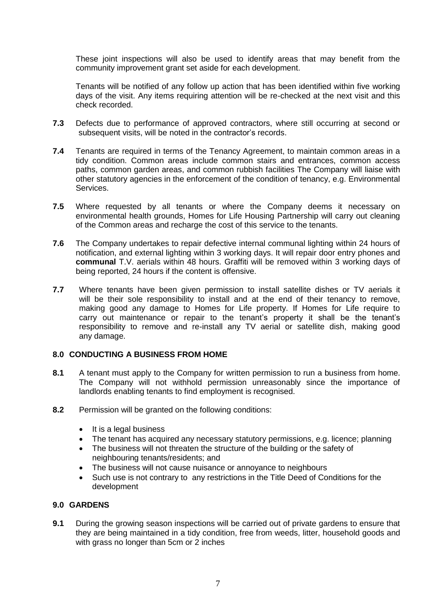These joint inspections will also be used to identify areas that may benefit from the community improvement grant set aside for each development.

Tenants will be notified of any follow up action that has been identified within five working days of the visit. Any items requiring attention will be re-checked at the next visit and this check recorded.

- **7.3** Defects due to performance of approved contractors, where still occurring at second or subsequent visits, will be noted in the contractor's records.
- **7.4** Tenants are required in terms of the Tenancy Agreement, to maintain common areas in a tidy condition. Common areas include common stairs and entrances, common access paths, common garden areas, and common rubbish facilities The Company will liaise with other statutory agencies in the enforcement of the condition of tenancy, e.g. Environmental Services.
- **7.5** Where requested by all tenants or where the Company deems it necessary on environmental health grounds, Homes for Life Housing Partnership will carry out cleaning of the Common areas and recharge the cost of this service to the tenants.
- **7.6** The Company undertakes to repair defective internal communal lighting within 24 hours of notification, and external lighting within 3 working days. It will repair door entry phones and **communal** T.V. aerials within 48 hours. Graffiti will be removed within 3 working days of being reported, 24 hours if the content is offensive.
- **7.7** Where tenants have been given permission to install satellite dishes or TV aerials it will be their sole responsibility to install and at the end of their tenancy to remove, making good any damage to Homes for Life property. If Homes for Life require to carry out maintenance or repair to the tenant's property it shall be the tenant's responsibility to remove and re-install any TV aerial or satellite dish, making good any damage.

#### **8.0 CONDUCTING A BUSINESS FROM HOME**

- **8.1** A tenant must apply to the Company for written permission to run a business from home. The Company will not withhold permission unreasonably since the importance of landlords enabling tenants to find employment is recognised.
- **8.2** Permission will be granted on the following conditions:
	- $\bullet$  It is a legal business
	- The tenant has acquired any necessary statutory permissions, e.g. licence; planning
	- The business will not threaten the structure of the building or the safety of neighbouring tenants/residents; and
	- The business will not cause nuisance or annoyance to neighbours
	- Such use is not contrary to any restrictions in the Title Deed of Conditions for the development

#### **9.0 GARDENS**

**9.1** During the growing season inspections will be carried out of private gardens to ensure that they are being maintained in a tidy condition, free from weeds, litter, household goods and with grass no longer than 5cm or 2 inches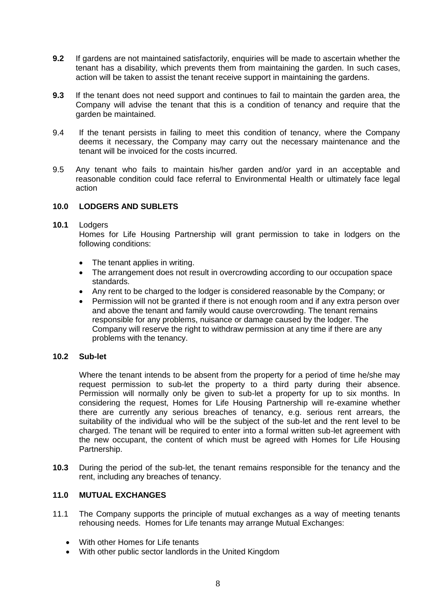- **9.2** If gardens are not maintained satisfactorily, enquiries will be made to ascertain whether the tenant has a disability, which prevents them from maintaining the garden. In such cases, action will be taken to assist the tenant receive support in maintaining the gardens.
- **9.3** If the tenant does not need support and continues to fail to maintain the garden area, the Company will advise the tenant that this is a condition of tenancy and require that the garden be maintained.
- 9.4 If the tenant persists in failing to meet this condition of tenancy, where the Company deems it necessary, the Company may carry out the necessary maintenance and the tenant will be invoiced for the costs incurred.
- 9.5 Any tenant who fails to maintain his/her garden and/or yard in an acceptable and reasonable condition could face referral to Environmental Health or ultimately face legal action

### **10.0 LODGERS AND SUBLETS**

#### **10.1** Lodgers

Homes for Life Housing Partnership will grant permission to take in lodgers on the following conditions:

- The tenant applies in writing.
- The arrangement does not result in overcrowding according to our occupation space standards.
- Any rent to be charged to the lodger is considered reasonable by the Company; or
- Permission will not be granted if there is not enough room and if any extra person over and above the tenant and family would cause overcrowding. The tenant remains responsible for any problems, nuisance or damage caused by the lodger. The Company will reserve the right to withdraw permission at any time if there are any problems with the tenancy.

#### **10.2 Sub-let**

Where the tenant intends to be absent from the property for a period of time he/she may request permission to sub-let the property to a third party during their absence. Permission will normally only be given to sub-let a property for up to six months. In considering the request, Homes for Life Housing Partnership will re-examine whether there are currently any serious breaches of tenancy, e.g. serious rent arrears, the suitability of the individual who will be the subject of the sub-let and the rent level to be charged. The tenant will be required to enter into a formal written sub-let agreement with the new occupant, the content of which must be agreed with Homes for Life Housing Partnership.

**10.3** During the period of the sub-let, the tenant remains responsible for the tenancy and the rent, including any breaches of tenancy.

### **11.0 MUTUAL EXCHANGES**

- 11.1 The Company supports the principle of mutual exchanges as a way of meeting tenants rehousing needs. Homes for Life tenants may arrange Mutual Exchanges:
	- With other Homes for Life tenants
	- With other public sector landlords in the United Kingdom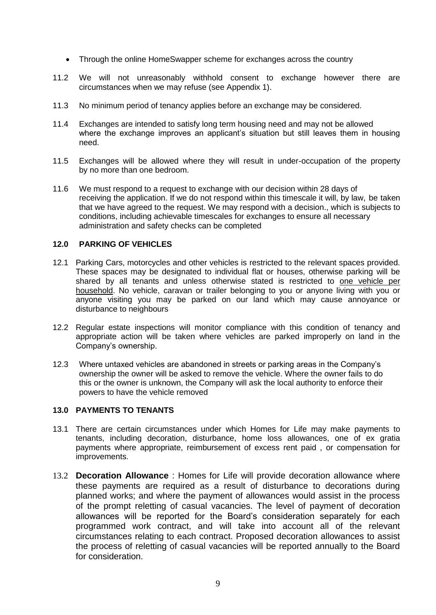- Through the online HomeSwapper scheme for exchanges across the country
- 11.2 We will not unreasonably withhold consent to exchange however there are circumstances when we may refuse (see Appendix 1).
- 11.3 No minimum period of tenancy applies before an exchange may be considered.
- 11.4 Exchanges are intended to satisfy long term housing need and may not be allowed where the exchange improves an applicant's situation but still leaves them in housing need.
- 11.5 Exchanges will be allowed where they will result in under-occupation of the property by no more than one bedroom.
- 11.6 We must respond to a request to exchange with our decision within 28 days of receiving the application. If we do not respond within this timescale it will, by law, be taken that we have agreed to the request. We may respond with a decision., which is subjects to conditions, including achievable timescales for exchanges to ensure all necessary administration and safety checks can be completed

#### **12.0 PARKING OF VEHICLES**

- 12.1 Parking Cars, motorcycles and other vehicles is restricted to the relevant spaces provided. These spaces may be designated to individual flat or houses, otherwise parking will be shared by all tenants and unless otherwise stated is restricted to one vehicle per household. No vehicle, caravan or trailer belonging to you or anyone living with you or anyone visiting you may be parked on our land which may cause annoyance or disturbance to neighbours
- 12.2 Regular estate inspections will monitor compliance with this condition of tenancy and appropriate action will be taken where vehicles are parked improperly on land in the Company's ownership.
- 12.3 Where untaxed vehicles are abandoned in streets or parking areas in the Company's ownership the owner will be asked to remove the vehicle. Where the owner fails to do this or the owner is unknown, the Company will ask the local authority to enforce their powers to have the vehicle removed

#### **13.0 PAYMENTS TO TENANTS**

- 13.1 There are certain circumstances under which Homes for Life may make payments to tenants, including decoration, disturbance, home loss allowances, one of ex gratia payments where appropriate, reimbursement of excess rent paid , or compensation for improvements.
- 13.2 **Decoration Allowance** : Homes for Life will provide decoration allowance where these payments are required as a result of disturbance to decorations during planned works; and where the payment of allowances would assist in the process of the prompt reletting of casual vacancies. The level of payment of decoration allowances will be reported for the Board's consideration separately for each programmed work contract, and will take into account all of the relevant circumstances relating to each contract. Proposed decoration allowances to assist the process of reletting of casual vacancies will be reported annually to the Board for consideration.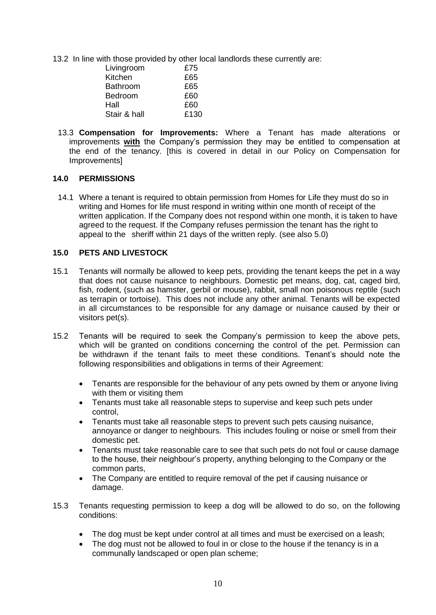13.2 In line with those provided by other local landlords these currently are:

| Livingroom     | £75  |
|----------------|------|
| Kitchen        | £65  |
| Bathroom       | £65  |
| <b>Bedroom</b> | £60  |
| Hall           | £60  |
| Stair & hall   | £130 |

13.3 **Compensation for Improvements:** Where a Tenant has made alterations or improvements **with** the Company's permission they may be entitled to compensation at the end of the tenancy. [this is covered in detail in our Policy on Compensation for Improvements]

#### **14.0 PERMISSIONS**

14.1 Where a tenant is required to obtain permission from Homes for Life they must do so in writing and Homes for life must respond in writing within one month of receipt of the written application. If the Company does not respond within one month, it is taken to have agreed to the request. If the Company refuses permission the tenant has the right to appeal to the sheriff within 21 days of the written reply. (see also 5.0)

#### **15.0 PETS AND LIVESTOCK**

- 15.1 Tenants will normally be allowed to keep pets, providing the tenant keeps the pet in a way that does not cause nuisance to neighbours. Domestic pet means, dog, cat, caged bird, fish, rodent, (such as hamster, gerbil or mouse), rabbit, small non poisonous reptile (such as terrapin or tortoise). This does not include any other animal. Tenants will be expected in all circumstances to be responsible for any damage or nuisance caused by their or visitors pet(s).
- 15.2 Tenants will be required to seek the Company's permission to keep the above pets, which will be granted on conditions concerning the control of the pet. Permission can be withdrawn if the tenant fails to meet these conditions. Tenant's should note the following responsibilities and obligations in terms of their Agreement:
	- Tenants are responsible for the behaviour of any pets owned by them or anyone living with them or visiting them
	- Tenants must take all reasonable steps to supervise and keep such pets under control,
	- Tenants must take all reasonable steps to prevent such pets causing nuisance, annoyance or danger to neighbours. This includes fouling or noise or smell from their domestic pet.
	- Tenants must take reasonable care to see that such pets do not foul or cause damage to the house, their neighbour's property, anything belonging to the Company or the common parts,
	- The Company are entitled to require removal of the pet if causing nuisance or damage.
- 15.3 Tenants requesting permission to keep a dog will be allowed to do so, on the following conditions:
	- The dog must be kept under control at all times and must be exercised on a leash;
	- The dog must not be allowed to foul in or close to the house if the tenancy is in a communally landscaped or open plan scheme;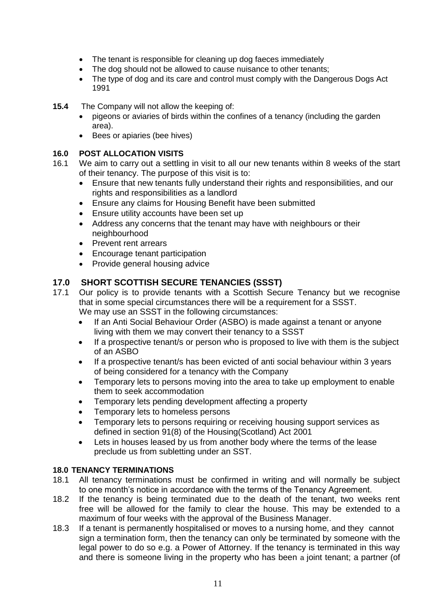- The tenant is responsible for cleaning up dog faeces immediately
- The dog should not be allowed to cause nuisance to other tenants;
- The type of dog and its care and control must comply with the Dangerous Dogs Act 1991
- **15.4** The Company will not allow the keeping of:
	- pigeons or aviaries of birds within the confines of a tenancy (including the garden area).
	- Bees or apiaries (bee hives)

# **16.0 POST ALLOCATION VISITS**

- 16.1 We aim to carry out a settling in visit to all our new tenants within 8 weeks of the start of their tenancy. The purpose of this visit is to:
	- Ensure that new tenants fully understand their rights and responsibilities, and our rights and responsibilities as a landlord
	- Ensure any claims for Housing Benefit have been submitted
	- Ensure utility accounts have been set up
	- Address any concerns that the tenant may have with neighbours or their neighbourhood
	- Prevent rent arrears
	- Encourage tenant participation
	- Provide general housing advice

# **17.0 SHORT SCOTTISH SECURE TENANCIES (SSST)**

- 17.1 Our policy is to provide tenants with a Scottish Secure Tenancy but we recognise that in some special circumstances there will be a requirement for a SSST. We may use an SSST in the following circumstances:
	- If an Anti Social Behaviour Order (ASBO) is made against a tenant or anyone living with them we may convert their tenancy to a SSST
	- If a prospective tenant/s or person who is proposed to live with them is the subject of an ASBO
	- If a prospective tenant/s has been evicted of anti social behaviour within 3 years of being considered for a tenancy with the Company
	- Temporary lets to persons moving into the area to take up employment to enable them to seek accommodation
	- Temporary lets pending development affecting a property
	- Temporary lets to homeless persons
	- Temporary lets to persons requiring or receiving housing support services as defined in section 91(8) of the Housing(Scotland) Act 2001
	- Lets in houses leased by us from another body where the terms of the lease preclude us from subletting under an SST.

## **18.0 TENANCY TERMINATIONS**

- 18.1 All tenancy terminations must be confirmed in writing and will normally be subject to one month's notice in accordance with the terms of the Tenancy Agreement.
- 18.2 If the tenancy is being terminated due to the death of the tenant, two weeks rent free will be allowed for the family to clear the house. This may be extended to a maximum of four weeks with the approval of the Business Manager.
- 18.3 If a tenant is permanently hospitalised or moves to a nursing home, and they cannot sign a termination form, then the tenancy can only be terminated by someone with the legal power to do so e.g. a Power of Attorney. If the tenancy is terminated in this way and there is someone living in the property who has been a joint tenant; a partner (of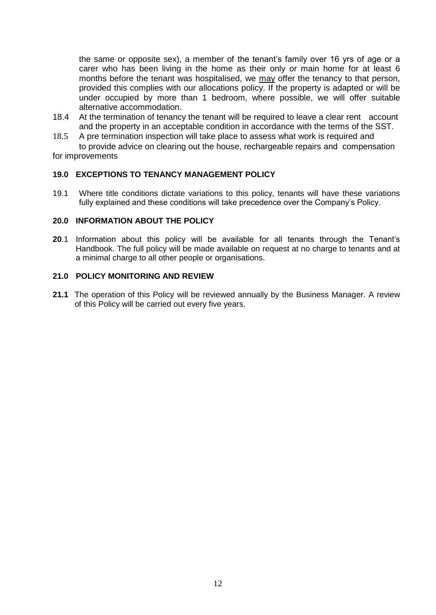the same or opposite sex), a member of the tenant's family over 16 yrs of age or a carer who has been living in the home as their only or main home for at least 6 months before the tenant was hospitalised, we may offer the tenancy to that person, provided this complies with our allocations policy. If the property is adapted or will be under occupied by more than 1 bedroom, where possible, we will offer suitable alternative accommodation.

- 18.4 At the termination of tenancy the tenant will be required to leave a clear rent account and the property in an acceptable condition in accordance with the terms of the SST.
- 18.5 A pre termination inspection will take place to assess what work is required and to provide advice on clearing out the house, rechargeable repairs and compensation

for improvements

### **19.0 EXCEPTIONS TO TENANCY MANAGEMENT POLICY**

19.1 Where title conditions dictate variations to this policy, tenants will have these variations fully explained and these conditions will take precedence over the Company's Policy.

#### **20.0 INFORMATION ABOUT THE POLICY**

**20**.1 Information about this policy will be available for all tenants through the Tenant's Handbook. The full policy will be made available on request at no charge to tenants and at a minimal charge to all other people or organisations.

## **21.0 POLICY MONITORING AND REVIEW**

**21.1** The operation of this Policy will be reviewed annually by the Business Manager. A review of this Policy will be carried out every five years.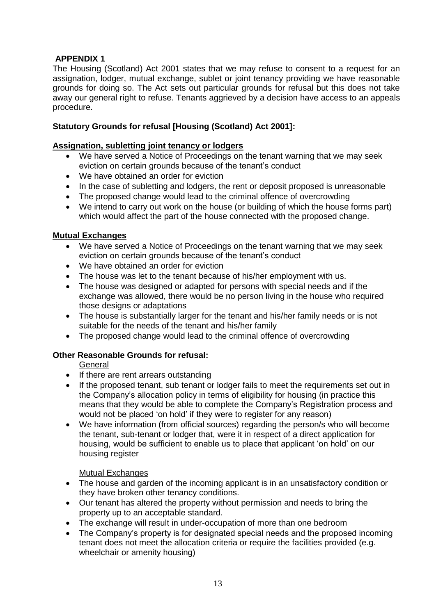# **APPENDIX 1**

The Housing (Scotland) Act 2001 states that we may refuse to consent to a request for an assignation, lodger, mutual exchange, sublet or joint tenancy providing we have reasonable grounds for doing so. The Act sets out particular grounds for refusal but this does not take away our general right to refuse. Tenants aggrieved by a decision have access to an appeals procedure.

## **Statutory Grounds for refusal [Housing (Scotland) Act 2001]:**

## **Assignation, subletting joint tenancy or lodgers**

- We have served a Notice of Proceedings on the tenant warning that we may seek eviction on certain grounds because of the tenant's conduct
- We have obtained an order for eviction
- In the case of subletting and lodgers, the rent or deposit proposed is unreasonable
- The proposed change would lead to the criminal offence of overcrowding
- We intend to carry out work on the house (or building of which the house forms part) which would affect the part of the house connected with the proposed change.

### **Mutual Exchanges**

- We have served a Notice of Proceedings on the tenant warning that we may seek eviction on certain grounds because of the tenant's conduct
- We have obtained an order for eviction
- The house was let to the tenant because of his/her employment with us.
- The house was designed or adapted for persons with special needs and if the exchange was allowed, there would be no person living in the house who required those designs or adaptations
- The house is substantially larger for the tenant and his/her family needs or is not suitable for the needs of the tenant and his/her family
- The proposed change would lead to the criminal offence of overcrowding

## **Other Reasonable Grounds for refusal:**

General

- If there are rent arrears outstanding
- If the proposed tenant, sub tenant or lodger fails to meet the requirements set out in the Company's allocation policy in terms of eligibility for housing (in practice this means that they would be able to complete the Company's Registration process and would not be placed 'on hold' if they were to register for any reason)
- We have information (from official sources) regarding the person/s who will become the tenant, sub-tenant or lodger that, were it in respect of a direct application for housing, would be sufficient to enable us to place that applicant 'on hold' on our housing register

## Mutual Exchanges

- The house and garden of the incoming applicant is in an unsatisfactory condition or they have broken other tenancy conditions.
- Our tenant has altered the property without permission and needs to bring the property up to an acceptable standard.
- The exchange will result in under-occupation of more than one bedroom
- The Company's property is for designated special needs and the proposed incoming tenant does not meet the allocation criteria or require the facilities provided (e.g. wheelchair or amenity housing)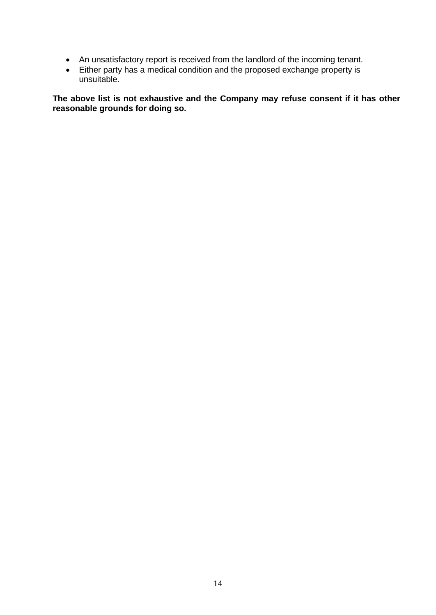- An unsatisfactory report is received from the landlord of the incoming tenant.
- Either party has a medical condition and the proposed exchange property is unsuitable.

**The above list is not exhaustive and the Company may refuse consent if it has other reasonable grounds for doing so.**